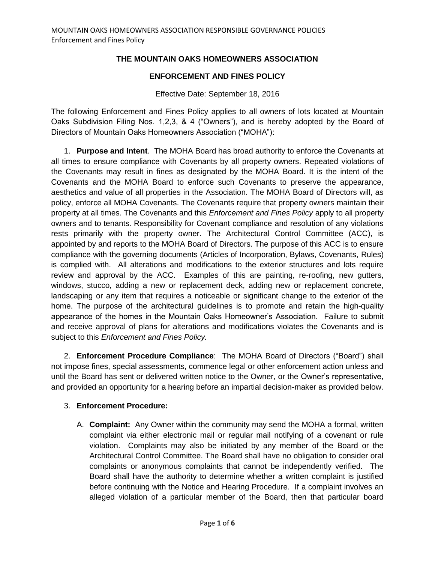# **THE MOUNTAIN OAKS HOMEOWNERS ASSOCIATION**

## **ENFORCEMENT AND FINES POLICY**

#### Effective Date: September 18, 2016

The following Enforcement and Fines Policy applies to all owners of lots located at Mountain Oaks Subdivision Filing Nos. 1,2,3, & 4 ("Owners"), and is hereby adopted by the Board of Directors of Mountain Oaks Homeowners Association ("MOHA"):

1. **Purpose and Intent**. The MOHA Board has broad authority to enforce the Covenants at all times to ensure compliance with Covenants by all property owners. Repeated violations of the Covenants may result in fines as designated by the MOHA Board. It is the intent of the Covenants and the MOHA Board to enforce such Covenants to preserve the appearance, aesthetics and value of all properties in the Association. The MOHA Board of Directors will, as policy, enforce all MOHA Covenants. The Covenants require that property owners maintain their property at all times. The Covenants and this *Enforcement and Fines Policy* apply to all property owners and to tenants. Responsibility for Covenant compliance and resolution of any violations rests primarily with the property owner. The Architectural Control Committee (ACC), is appointed by and reports to the MOHA Board of Directors. The purpose of this ACC is to ensure compliance with the governing documents (Articles of Incorporation, Bylaws, Covenants, Rules) is complied with. All alterations and modifications to the exterior structures and lots require review and approval by the ACC. Examples of this are painting, re-roofing, new gutters, windows, stucco, adding a new or replacement deck, adding new or replacement concrete, landscaping or any item that requires a noticeable or significant change to the exterior of the home. The purpose of the architectural guidelines is to promote and retain the high-quality appearance of the homes in the Mountain Oaks Homeowner's Association. Failure to submit and receive approval of plans for alterations and modifications violates the Covenants and is subject to this *Enforcement and Fines Policy.*

2. **Enforcement Procedure Compliance**: The MOHA Board of Directors ("Board") shall not impose fines, special assessments, commence legal or other enforcement action unless and until the Board has sent or delivered written notice to the Owner, or the Owner's representative, and provided an opportunity for a hearing before an impartial decision-maker as provided below.

## 3. **Enforcement Procedure:**

A. **Complaint:** Any Owner within the community may send the MOHA a formal, written complaint via either electronic mail or regular mail notifying of a covenant or rule violation. Complaints may also be initiated by any member of the Board or the Architectural Control Committee. The Board shall have no obligation to consider oral complaints or anonymous complaints that cannot be independently verified. The Board shall have the authority to determine whether a written complaint is justified before continuing with the Notice and Hearing Procedure. If a complaint involves an alleged violation of a particular member of the Board, then that particular board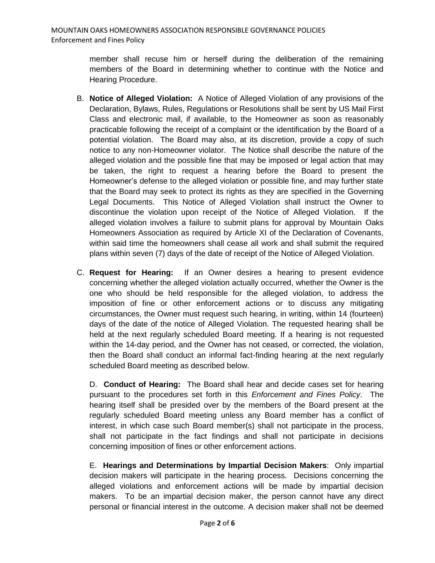member shall recuse him or herself during the deliberation of the remaining members of the Board in determining whether to continue with the Notice and Hearing Procedure.

- B. **Notice of Alleged Violation:** A Notice of Alleged Violation of any provisions of the Declaration, Bylaws, Rules, Regulations or Resolutions shall be sent by US Mail First Class and electronic mail, if available, to the Homeowner as soon as reasonably practicable following the receipt of a complaint or the identification by the Board of a potential violation. The Board may also, at its discretion, provide a copy of such notice to any non-Homeowner violator. The Notice shall describe the nature of the alleged violation and the possible fine that may be imposed or legal action that may be taken, the right to request a hearing before the Board to present the Homeowner's defense to the alleged violation or possible fine, and may further state that the Board may seek to protect its rights as they are specified in the Governing Legal Documents. This Notice of Alleged Violation shall instruct the Owner to discontinue the violation upon receipt of the Notice of Alleged Violation. If the alleged violation involves a failure to submit plans for approval by Mountain Oaks Homeowners Association as required by Article XI of the Declaration of Covenants, within said time the homeowners shall cease all work and shall submit the required plans within seven (7) days of the date of receipt of the Notice of Alleged Violation.
- C. **Request for Hearing:** If an Owner desires a hearing to present evidence concerning whether the alleged violation actually occurred, whether the Owner is the one who should be held responsible for the alleged violation, to address the imposition of fine or other enforcement actions or to discuss any mitigating circumstances, the Owner must request such hearing, in writing, within 14 (fourteen) days of the date of the notice of Alleged Violation. The requested hearing shall be held at the next regularly scheduled Board meeting. If a hearing is not requested within the 14-day period, and the Owner has not ceased, or corrected, the violation, then the Board shall conduct an informal fact-finding hearing at the next regularly scheduled Board meeting as described below.

D. **Conduct of Hearing:** The Board shall hear and decide cases set for hearing pursuant to the procedures set forth in this *Enforcement and Fines Policy*. The hearing itself shall be presided over by the members of the Board present at the regularly scheduled Board meeting unless any Board member has a conflict of interest, in which case such Board member(s) shall not participate in the process, shall not participate in the fact findings and shall not participate in decisions concerning imposition of fines or other enforcement actions.

E. **Hearings and Determinations by Impartial Decision Makers**: Only impartial decision makers will participate in the hearing process. Decisions concerning the alleged violations and enforcement actions will be made by impartial decision makers. To be an impartial decision maker, the person cannot have any direct personal or financial interest in the outcome. A decision maker shall not be deemed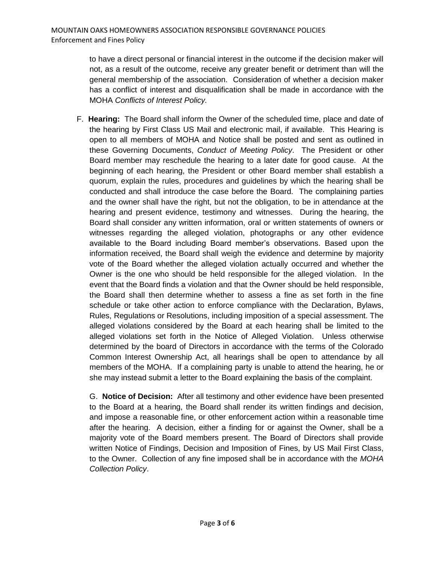to have a direct personal or financial interest in the outcome if the decision maker will not, as a result of the outcome, receive any greater benefit or detriment than will the general membership of the association. Consideration of whether a decision maker has a conflict of interest and disqualification shall be made in accordance with the MOHA *Conflicts of Interest Policy.* 

F. **Hearing:** The Board shall inform the Owner of the scheduled time, place and date of the hearing by First Class US Mail and electronic mail, if available. This Hearing is open to all members of MOHA and Notice shall be posted and sent as outlined in these Governing Documents, *Conduct of Meeting Policy*. The President or other Board member may reschedule the hearing to a later date for good cause. At the beginning of each hearing, the President or other Board member shall establish a quorum, explain the rules, procedures and guidelines by which the hearing shall be conducted and shall introduce the case before the Board. The complaining parties and the owner shall have the right, but not the obligation, to be in attendance at the hearing and present evidence, testimony and witnesses. During the hearing, the Board shall consider any written information, oral or written statements of owners or witnesses regarding the alleged violation, photographs or any other evidence available to the Board including Board member's observations. Based upon the information received, the Board shall weigh the evidence and determine by majority vote of the Board whether the alleged violation actually occurred and whether the Owner is the one who should be held responsible for the alleged violation. In the event that the Board finds a violation and that the Owner should be held responsible, the Board shall then determine whether to assess a fine as set forth in the fine schedule or take other action to enforce compliance with the Declaration, Bylaws, Rules, Regulations or Resolutions, including imposition of a special assessment. The alleged violations considered by the Board at each hearing shall be limited to the alleged violations set forth in the Notice of Alleged Violation. Unless otherwise determined by the board of Directors in accordance with the terms of the Colorado Common Interest Ownership Act, all hearings shall be open to attendance by all members of the MOHA. If a complaining party is unable to attend the hearing, he or she may instead submit a letter to the Board explaining the basis of the complaint.

G. **Notice of Decision:** After all testimony and other evidence have been presented to the Board at a hearing, the Board shall render its written findings and decision, and impose a reasonable fine, or other enforcement action within a reasonable time after the hearing. A decision, either a finding for or against the Owner, shall be a majority vote of the Board members present. The Board of Directors shall provide written Notice of Findings, Decision and Imposition of Fines, by US Mail First Class, to the Owner. Collection of any fine imposed shall be in accordance with the *MOHA Collection Policy*.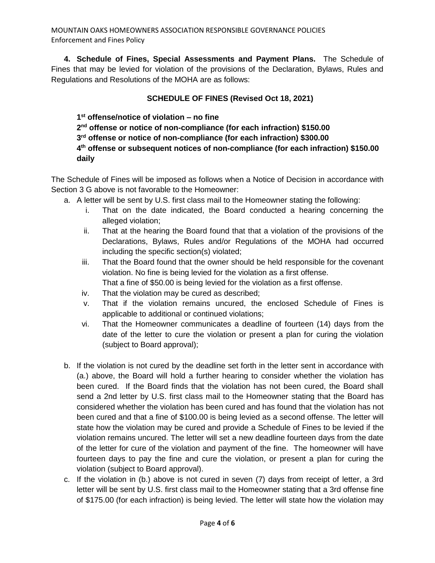MOUNTAIN OAKS HOMEOWNERS ASSOCIATION RESPONSIBLE GOVERNANCE POLICIES Enforcement and Fines Policy

**4. Schedule of Fines, Special Assessments and Payment Plans.** The Schedule of Fines that may be levied for violation of the provisions of the Declaration, Bylaws, Rules and Regulations and Resolutions of the MOHA are as follows:

## **SCHEDULE OF FINES (Revised Oct 18, 2021)**

 **st offense/notice of violation – no fine nd offense or notice of non-compliance (for each infraction) \$150.00 rd offense or notice of non-compliance (for each infraction) \$300.00 th offense or subsequent notices of non-compliance (for each infraction) \$150.00 daily**

The Schedule of Fines will be imposed as follows when a Notice of Decision in accordance with Section 3 G above is not favorable to the Homeowner:

- a. A letter will be sent by U.S. first class mail to the Homeowner stating the following:
	- i. That on the date indicated, the Board conducted a hearing concerning the alleged violation;
	- ii. That at the hearing the Board found that that a violation of the provisions of the Declarations, Bylaws, Rules and/or Regulations of the MOHA had occurred including the specific section(s) violated;
	- iii. That the Board found that the owner should be held responsible for the covenant violation. No fine is being levied for the violation as a first offense. That a fine of \$50.00 is being levied for the violation as a first offense.
	- iv. That the violation may be cured as described;
	- v. That if the violation remains uncured, the enclosed Schedule of Fines is applicable to additional or continued violations;
	- vi. That the Homeowner communicates a deadline of fourteen (14) days from the date of the letter to cure the violation or present a plan for curing the violation (subject to Board approval);
- b. If the violation is not cured by the deadline set forth in the letter sent in accordance with (a.) above, the Board will hold a further hearing to consider whether the violation has been cured. If the Board finds that the violation has not been cured, the Board shall send a 2nd letter by U.S. first class mail to the Homeowner stating that the Board has considered whether the violation has been cured and has found that the violation has not been cured and that a fine of \$100.00 is being levied as a second offense. The letter will state how the violation may be cured and provide a Schedule of Fines to be levied if the violation remains uncured. The letter will set a new deadline fourteen days from the date of the letter for cure of the violation and payment of the fine. The homeowner will have fourteen days to pay the fine and cure the violation, or present a plan for curing the violation (subject to Board approval).
- c. If the violation in (b.) above is not cured in seven (7) days from receipt of letter, a 3rd letter will be sent by U.S. first class mail to the Homeowner stating that a 3rd offense fine of \$175.00 (for each infraction) is being levied. The letter will state how the violation may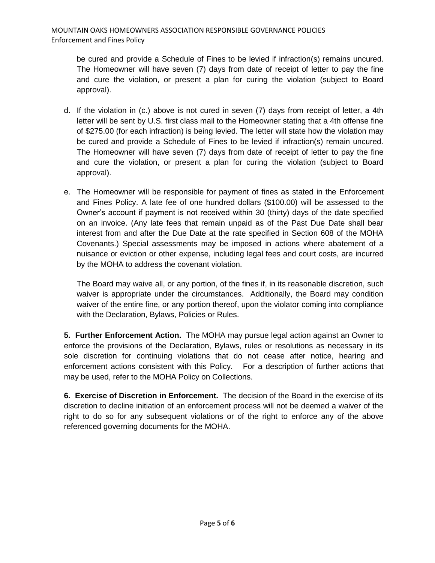be cured and provide a Schedule of Fines to be levied if infraction(s) remains uncured. The Homeowner will have seven (7) days from date of receipt of letter to pay the fine and cure the violation, or present a plan for curing the violation (subject to Board approval).

- d. If the violation in (c.) above is not cured in seven (7) days from receipt of letter, a 4th letter will be sent by U.S. first class mail to the Homeowner stating that a 4th offense fine of \$275.00 (for each infraction) is being levied. The letter will state how the violation may be cured and provide a Schedule of Fines to be levied if infraction(s) remain uncured. The Homeowner will have seven (7) days from date of receipt of letter to pay the fine and cure the violation, or present a plan for curing the violation (subject to Board approval).
- e. The Homeowner will be responsible for payment of fines as stated in the Enforcement and Fines Policy. A late fee of one hundred dollars (\$100.00) will be assessed to the Owner's account if payment is not received within 30 (thirty) days of the date specified on an invoice. (Any late fees that remain unpaid as of the Past Due Date shall bear interest from and after the Due Date at the rate specified in Section 608 of the MOHA Covenants.) Special assessments may be imposed in actions where abatement of a nuisance or eviction or other expense, including legal fees and court costs, are incurred by the MOHA to address the covenant violation.

The Board may waive all, or any portion, of the fines if, in its reasonable discretion, such waiver is appropriate under the circumstances. Additionally, the Board may condition waiver of the entire fine, or any portion thereof, upon the violator coming into compliance with the Declaration, Bylaws, Policies or Rules.

**5. Further Enforcement Action.** The MOHA may pursue legal action against an Owner to enforce the provisions of the Declaration, Bylaws, rules or resolutions as necessary in its sole discretion for continuing violations that do not cease after notice, hearing and enforcement actions consistent with this Policy. For a description of further actions that may be used, refer to the MOHA Policy on Collections.

**6. Exercise of Discretion in Enforcement.** The decision of the Board in the exercise of its discretion to decline initiation of an enforcement process will not be deemed a waiver of the right to do so for any subsequent violations or of the right to enforce any of the above referenced governing documents for the MOHA.